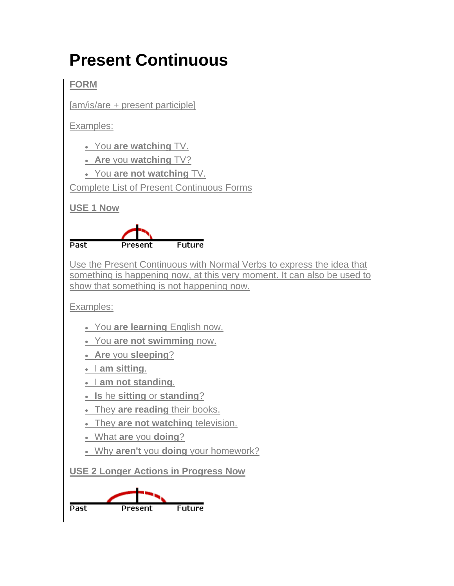## **Present Continuous**

**FORM**

[am/is/are + present participle]

Examples:

You **are watching** TV.

**Are** you **watching** TV?

You **are not watching** TV.

Complete List of Present Continuous Forms

**USE 1 Now**



Use the Present Continuous with Normal Verbs to express the idea that something is happening now, at this very moment. It can also be used to show that something is not happening now.

Examples:

- You **are learning** English now.
- You **are not swimming** now.
- **Are** you **sleeping**?
- am sitting.
- I am not standing.
- **Is** he **sitting** or **standing**?
- . They are reading their books.
- They **are not watching** television.
- What **are** you **doing**?
- Why **aren't** you **doing** your homework?

**USE 2 Longer Actions in Progress Now**

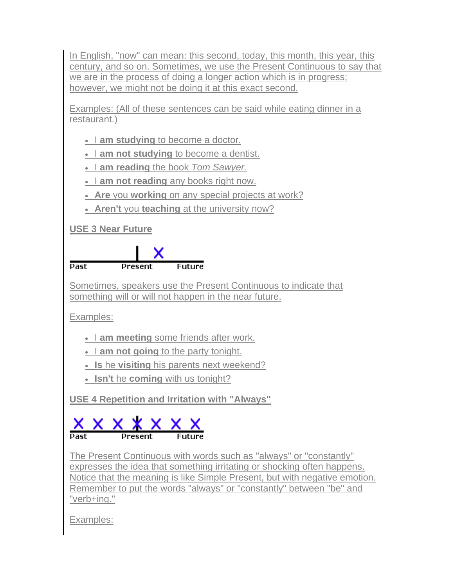In English, "now" can mean: this second, today, this month, this year, this century, and so on. Sometimes, we use the Present Continuous to say that we are in the process of doing a longer action which is in progress: however, we might not be doing it at this exact second.

Examples: (All of these sentences can be said while eating dinner in a restaurant.)

- I am studying to become a doctor.
- I am not studying to become a dentist.
- I **am reading** the book *Tom Sawyer.*
- I am not reading any books right now.
- **Are** you **working** on any special projects at work?
- **Aren't** you **teaching** at the university now?

## **USE 3 Near Future**



Sometimes, speakers use the Present Continuous to indicate that something will or will not happen in the near future.

Examples:

- **I am meeting** some friends after work.
- I am not going to the party tonight.
- **Is** he **visiting** his parents next weekend?
- **Isn't** he **coming** with us tonight?

**USE 4 Repetition and Irritation with "Always"**



The Present Continuous with words such as "always" or "constantly" expresses the idea that something irritating or shocking often happens. Notice that the meaning is like Simple Present, but with negative emotion. Remember to put the words "always" or "constantly" between "be" and "verb+ing."

Examples: